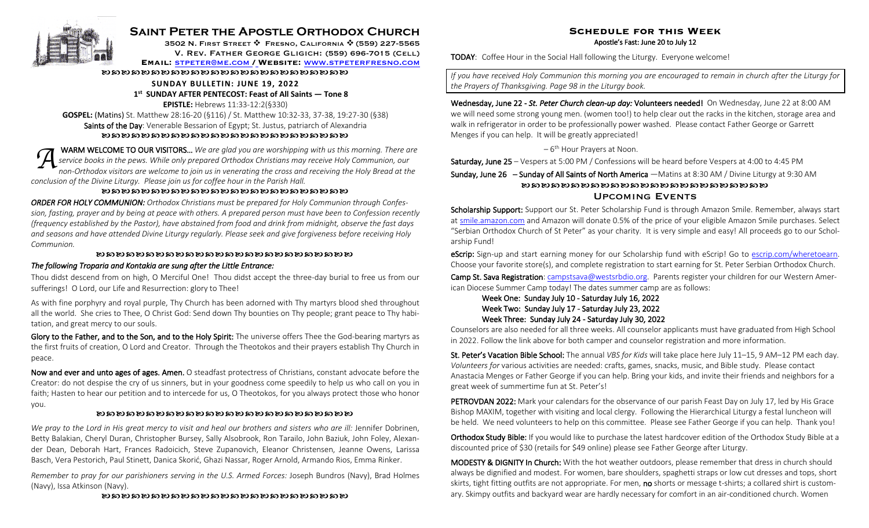

# **Saint Peter the Apostle Orthodox Church**

3502 N. FIRST STREET → FRESNO, CALIFORNIA → (559) 227-5565 V. Rev. Father George Gligich: (559) 696-7015 (Cell)

**Email:** stpeter@me.com **/ Website:** www.stpeterfresno.com

bcbcbcbcbcbcbcbcbcbcbcbcb

#### **SUNDAY BULLETIN: JUNE 19, 2022 1st SUNDAY AFTER PENTECOST: Feast of All Saints — Tone 8 EPISTLE:** Hebrews 11:33-12:2(§330)

**GOSPEL:** (Matins) St. Matthew 28:16-20 (§116) / St. Matthew 10:32-33, 37-38, 19:27-30 (§38) Saints of the Day: Venerable Bessarion of Egypt; St. Justus, patriarch of Alexandria bcbcbcbcbcbcbcbcbcbcbcbcb

 WARM WELCOME TO OUR VISITORS… *We are glad you are worshipping with us this morning. There are service books in the pews. While only prepared Orthodox Christians may receive Holy Communion, our non-Orthodox visitors are welcome to join us in venerating the cross and receiving the Holy Bread at the conclusion of the Divine Liturgy. Please join us for coffee hour in the Parish Hall.*  $\mathcal{A}^{\text{v}}_{\text{e}^{\text{e}}_{\text{e}}}$ 

### $\alpha$ aagaagaagaagaagaagaagaaga

*ORDER FOR HOLY COMMUNION: Orthodox Christians must be prepared for Holy Communion through Confession, fasting, prayer and by being at peace with others. A prepared person must have been to Confession recently (frequency established by the Pastor), have abstained from food and drink from midnight, observe the fast days and seasons and have attended Divine Liturgy regularly. Please seek and give forgiveness before receiving Holy Communion.*

### bcbcbcbcbcbcbcbcbcbcbcbcbb

### *The following Troparia and Kontakia are sung after the Little Entrance:*

Thou didst descend from on high, O Merciful One! Thou didst accept the three-day burial to free us from our sufferings! O Lord, our Life and Resurrection: glory to Thee!

As with fine porphyry and royal purple, Thy Church has been adorned with Thy martyrs blood shed throughout all the world. She cries to Thee, O Christ God: Send down Thy bounties on Thy people; grant peace to Thy habitation, and great mercy to our souls.

Glory to the Father, and to the Son, and to the Holy Spirit: The universe offers Thee the God-bearing martyrs as the first fruits of creation, O Lord and Creator. Through the Theotokos and their prayers establish Thy Church in peace.

Now and ever and unto ages of ages. Amen. O steadfast protectress of Christians, constant advocate before the Creator: do not despise the cry of us sinners, but in your goodness come speedily to help us who call on you in faith; Hasten to hear our petition and to intercede for us, O Theotokos, for you always protect those who honor you.

### bcbcbcbcbcbcbcbcbcbcbcbcbb

*We pray to the Lord in His great mercy to visit and heal our brothers and sisters who are ill:* Jennifer Dobrinen, Betty Balakian, Cheryl Duran, Christopher Bursey, Sally Alsobrook, Ron Tarailo, John Baziuk, John Foley, Alexander Dean, Deborah Hart, Frances Radoicich, Steve Zupanovich, Eleanor Christensen, Jeanne Owens, Larissa Basch, Vera Pestorich, Paul Stinett, Danica Skorić, Ghazi Nassar, Roger Arnold, Armando Rios, Emma Rinker.

*Remember to pray for our parishioners serving in the U.S. Armed Forces:* Joseph Bundros (Navy), Brad Holmes (Navy), Issa Atkinson (Navy).

bcbcbcbcbcbcbcbcbcbcbcbcb

## **Schedule for this Week** Apostle's Fast: June 20 to July 12

TODAY: Coffee Hour in the Social Hall following the Liturgy. Everyone welcome!

*If you have received Holy Communion this morning you are encouraged to remain in church after the Liturgy for the Prayers of Thanksgiving. Page 98 in the Liturgy book.*

Wednesday, June 22 - *St. Peter Church clean-up day:* Volunteers needed! On Wednesday, June 22 at 8:00 AM we will need some strong young men. (women too!) to help clear out the racks in the kitchen, storage area and walk in refrigerator in order to be professionally power washed. Please contact Father George or Garrett Menges if you can help. It will be greatly appreciated!

## $-6$ <sup>th</sup> Hour Prayers at Noon.

Saturday, June 25 – Vespers at 5:00 PM / Confessions will be heard before Vespers at 4:00 to 4:45 PM

# Sunday, June 26 - Sunday of All Saints of North America - Matins at 8:30 AM / Divine Liturgy at 9:30 AM bcbcbcbcbcbcbcbcbcbcbcbcb Upcoming Events

Scholarship Support: Support our St. Peter Scholarship Fund is through Amazon Smile. Remember, always start at smile.amazon.com and Amazon will donate 0.5% of the price of your eligible Amazon Smile purchases. Select "Serbian Orthodox Church of St Peter" as your charity. It is very simple and easy! All proceeds go to our Scholarship Fund!

eScrip: Sign-up and start earning money for our Scholarship fund with eScrip! Go to escrip.com/wheretoearn. Choose your favorite store(s), and complete registration to start earning for St. Peter Serbian Orthodox Church.

Camp St. Sava Registration: campstsava@westsrbdio.org. Parents register your children for our Western American Diocese Summer Camp today! The dates summer camp are as follows:

Week One: Sunday July 10 - Saturday July 16, 2022 Week Two: Sunday July 17 - Saturday July 23, 2022 Week Three: Sunday July 24 - Saturday July 30, 2022

Counselors are also needed for all three weeks. All counselor applicants must have graduated from High School in 2022. Follow the link above for both camper and counselor registration and more information.

St. Peter's Vacation Bible School: The annual *VBS for Kids* will take place here July 11–15, 9 AM–12 PM each day. *Volunteers for* various activities are needed: crafts, games, snacks, music, and Bible study. Please contact Anastacia Menges or Father George if you can help. Bring your kids, and invite their friends and neighbors for a great week of summertime fun at St. Peter's!

PETROVDAN 2022: Mark your calendars for the observance of our parish Feast Day on July 17, led by His Grace Bishop MAXIM, together with visiting and local clergy. Following the Hierarchical Liturgy a festal luncheon will be held. We need volunteers to help on this committee. Please see Father George if you can help. Thank you!

Orthodox Study Bible: If you would like to purchase the latest hardcover edition of the Orthodox Study Bible at a discounted price of \$30 (retails for \$49 online) please see Father George after Liturgy.

MODESTY & DIGNITY In Church: With the hot weather outdoors, please remember that dress in church should always be dignified and modest. For women, bare shoulders, spaghetti straps or low cut dresses and tops, short skirts, tight fitting outfits are not appropriate. For men, no shorts or message t-shirts; a collared shirt is customary. Skimpy outfits and backyard wear are hardly necessary for comfort in an air-conditioned church. Women